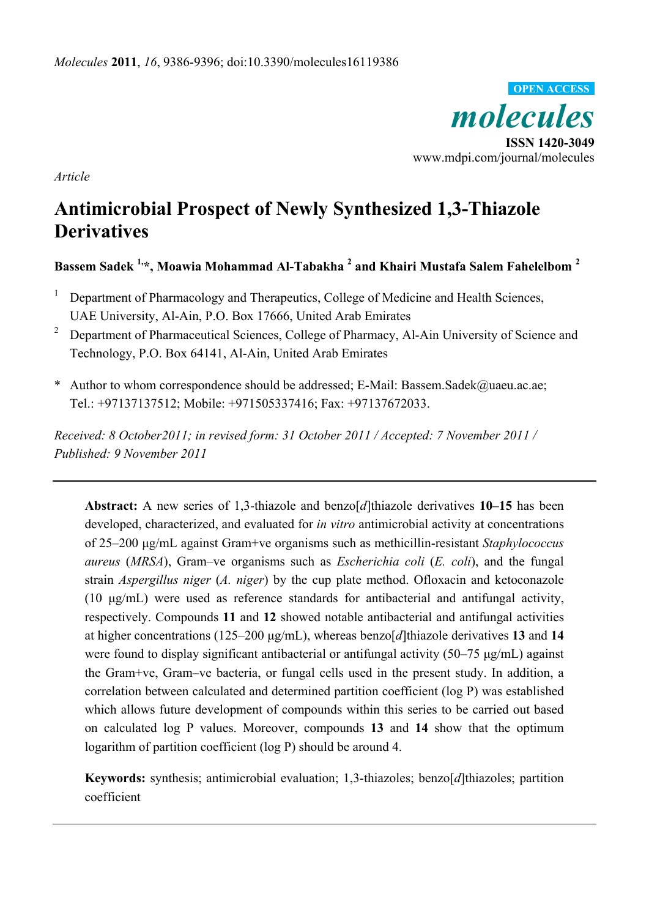

*Article*

# **Antimicrobial Prospect of Newly Synthesized 1,3-Thiazole Derivatives**

**Bassem Sadek 1,\*, Moawia Mohammad Al-Tabakha <sup>2</sup> and Khairi Mustafa Salem Fahelelbom <sup>2</sup>**

- 1 Department of Pharmacology and Therapeutics, College of Medicine and Health Sciences, UAE University, Al-Ain, P.O. Box 17666, United Arab Emirates
- <sup>2</sup> Department of Pharmaceutical Sciences, College of Pharmacy, Al-Ain University of Science and Technology, P.O. Box 64141, Al-Ain, United Arab Emirates
- \* Author to whom correspondence should be addressed; E-Mail: Bassem.Sadek@uaeu.ac.ae; Tel.: +97137137512; Mobile: +971505337416; Fax: +97137672033.

*Received: 8 October2011; in revised form: 31 October 2011 / Accepted: 7 November 2011 / Published: 9 November 2011* 

**Abstract:** A new series of 1,3-thiazole and benzo[*d*]thiazole derivatives **10–15** has been developed, characterized, and evaluated for *in vitro* antimicrobial activity at concentrations of 25–200 μg/mL against Gram+ve organisms such as methicillin-resistant *Staphylococcus aureus* (*MRSA*), Gram–ve organisms such as *Escherichia coli* (*E. coli*), and the fungal strain *Aspergillus niger* (*A. niger*) by the cup plate method. Ofloxacin and ketoconazole (10 μg/mL) were used as reference standards for antibacterial and antifungal activity, respectively. Compounds **11** and **12** showed notable antibacterial and antifungal activities at higher concentrations (125–200 μg/mL), whereas benzo[*d*]thiazole derivatives **13** and **14** were found to display significant antibacterial or antifungal activity (50–75 μg/mL) against the Gram+ve, Gram–ve bacteria, or fungal cells used in the present study. In addition, a correlation between calculated and determined partition coefficient (log P) was established which allows future development of compounds within this series to be carried out based on calculated log P values. Moreover, compounds **13** and **14** show that the optimum logarithm of partition coefficient (log P) should be around 4.

**Keywords:** synthesis; antimicrobial evaluation; 1,3-thiazoles; benzo[*d*]thiazoles; partition coefficient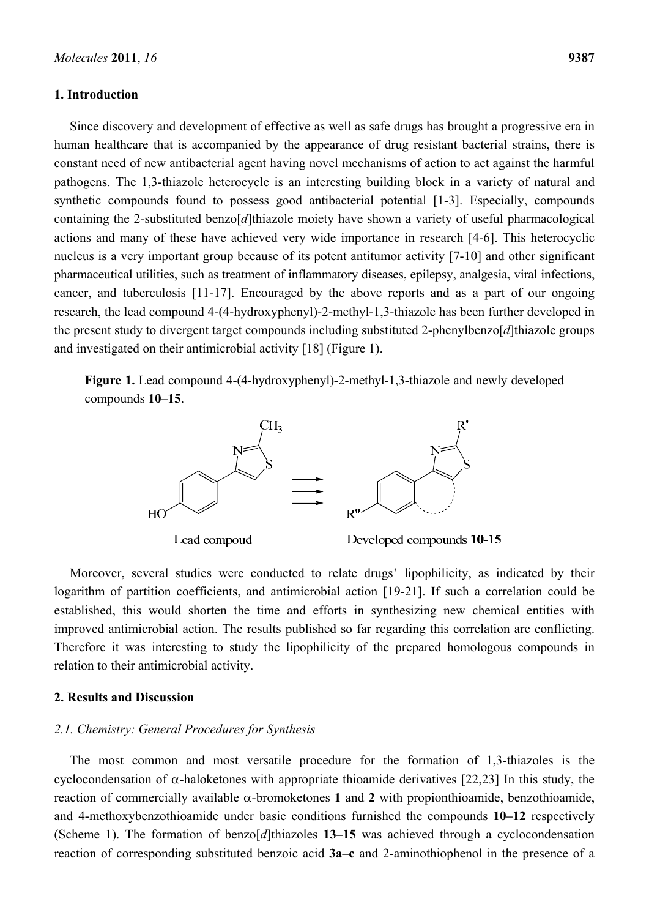#### **1. Introduction**

Since discovery and development of effective as well as safe drugs has brought a progressive era in human healthcare that is accompanied by the appearance of drug resistant bacterial strains, there is constant need of new antibacterial agent having novel mechanisms of action to act against the harmful pathogens. The 1,3-thiazole heterocycle is an interesting building block in a variety of natural and synthetic compounds found to possess good antibacterial potential [1-3]. Especially, compounds containing the 2-substituted benzo[*d*]thiazole moiety have shown a variety of useful pharmacological actions and many of these have achieved very wide importance in research [4-6]. This heterocyclic nucleus is a very important group because of its potent antitumor activity [7-10] and other significant pharmaceutical utilities, such as treatment of inflammatory diseases, epilepsy, analgesia, viral infections, cancer, and tuberculosis [11-17]. Encouraged by the above reports and as a part of our ongoing research, the lead compound 4-(4-hydroxyphenyl)-2-methyl-1,3-thiazole has been further developed in the present study to divergent target compounds including substituted 2-phenylbenzo[*d*]thiazole groups and investigated on their antimicrobial activity [18] (Figure 1).

**Figure 1.** Lead compound 4-(4-hydroxyphenyl)-2-methyl-1,3-thiazole and newly developed compounds **10–15**.



Moreover, several studies were conducted to relate drugs' lipophilicity, as indicated by their logarithm of partition coefficients, and antimicrobial action [19-21]. If such a correlation could be established, this would shorten the time and efforts in synthesizing new chemical entities with improved antimicrobial action. The results published so far regarding this correlation are conflicting. Therefore it was interesting to study the lipophilicity of the prepared homologous compounds in relation to their antimicrobial activity.

# **2. Results and Discussion**

#### *2.1. Chemistry: General Procedures for Synthesis*

The most common and most versatile procedure for the formation of 1,3-thiazoles is the cyclocondensation of  $\alpha$ -haloketones with appropriate thioamide derivatives [22,23] In this study, the reaction of commercially available  $\alpha$ -bromoketones 1 and 2 with propionthioamide, benzothioamide, and 4-methoxybenzothioamide under basic conditions furnished the compounds **10–12** respectively (Scheme 1). The formation of benzo[*d*]thiazoles **13–15** was achieved through a cyclocondensation reaction of corresponding substituted benzoic acid **3a–c** and 2-aminothiophenol in the presence of a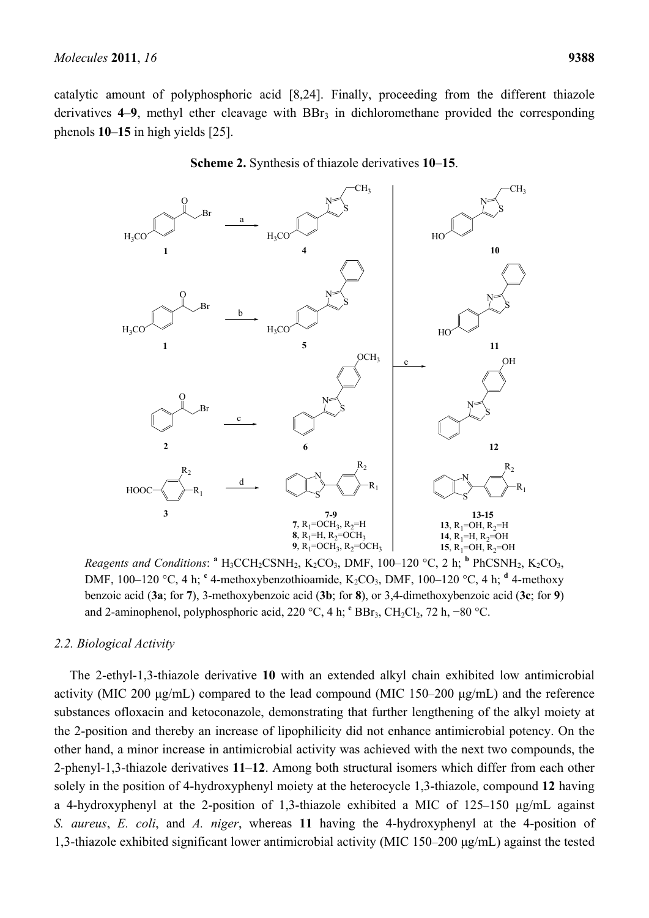catalytic amount of polyphosphoric acid [8,24]. Finally, proceeding from the different thiazole derivatives 4–9, methyl ether cleavage with BBr<sub>3</sub> in dichloromethane provided the corresponding phenols **10**–**15** in high yields [25].



#### **Scheme 2.** Synthesis of thiazole derivatives **10**–**15**.

*Reagents and Conditions*:  $^{\circ}$  H<sub>3</sub>CCH<sub>2</sub>CSNH<sub>2</sub>, K<sub>2</sub>CO<sub>3</sub>, DMF, 100–120 °C, 2 h;  $^{\circ}$  PhCSNH<sub>2</sub>, K<sub>2</sub>CO<sub>3</sub>, DMF, 100–120 °C, 4 h; <sup>c</sup> 4-methoxybenzothioamide, K<sub>2</sub>CO<sub>3</sub>, DMF, 100–120 °C, 4 h; <sup>d</sup> 4-methoxy benzoic acid (**3a**; for **7**), 3-methoxybenzoic acid (**3b**; for **8**), or 3,4-dimethoxybenzoic acid (**3c**; for **9**) and 2-aminophenol, polyphosphoric acid, 220 °C, 4 h; <sup>e</sup> BBr<sub>3</sub>, CH<sub>2</sub>Cl<sub>2</sub>, 72 h, −80 °C.

#### *2.2. Biological Activity*

The 2-ethyl-1,3-thiazole derivative **10** with an extended alkyl chain exhibited low antimicrobial activity (MIC 200 μg/mL) compared to the lead compound (MIC 150–200 μg/mL) and the reference substances ofloxacin and ketoconazole, demonstrating that further lengthening of the alkyl moiety at the 2-position and thereby an increase of lipophilicity did not enhance antimicrobial potency. On the other hand, a minor increase in antimicrobial activity was achieved with the next two compounds, the 2-phenyl-1,3-thiazole derivatives **11**–**12**. Among both structural isomers which differ from each other solely in the position of 4-hydroxyphenyl moiety at the heterocycle 1,3-thiazole, compound **12** having a 4-hydroxyphenyl at the 2-position of 1,3-thiazole exhibited a MIC of 125–150 μg/mL against *S. aureus*, *E. coli*, and *A. niger*, whereas **11** having the 4-hydroxyphenyl at the 4-position of 1,3-thiazole exhibited significant lower antimicrobial activity (MIC 150–200 μg/mL) against the tested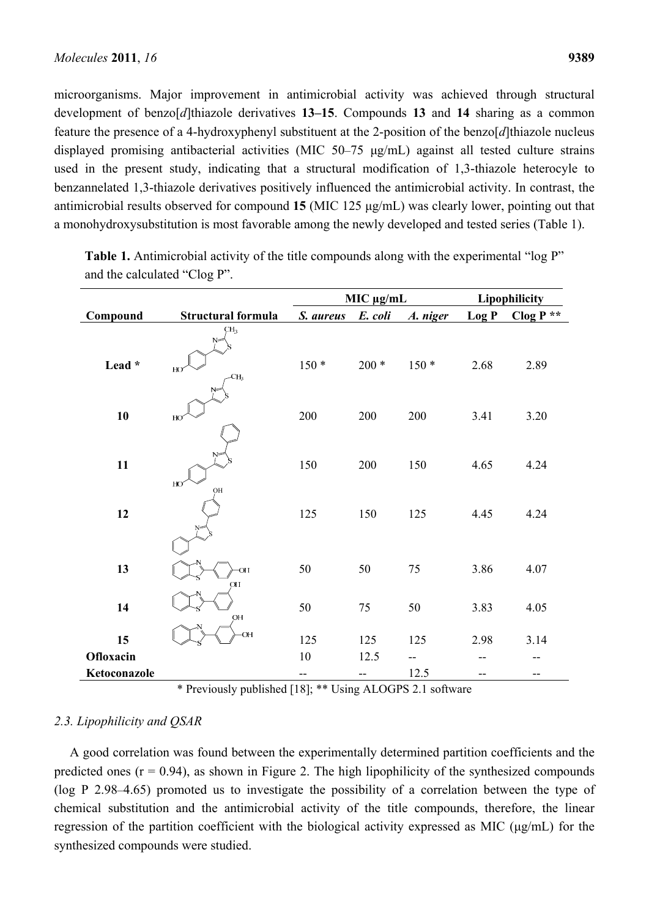microorganisms. Major improvement in antimicrobial activity was achieved through structural development of benzo[*d*]thiazole derivatives **13–15**. Compounds **13** and **14** sharing as a common feature the presence of a 4-hydroxyphenyl substituent at the 2-position of the benzo[*d*]thiazole nucleus displayed promising antibacterial activities (MIC 50–75 μg/mL) against all tested culture strains used in the present study, indicating that a structural modification of 1,3-thiazole heterocyle to benzannelated 1,3-thiazole derivatives positively influenced the antimicrobial activity. In contrast, the antimicrobial results observed for compound **15** (MIC 125 μg/mL) was clearly lower, pointing out that a monohydroxysubstitution is most favorable among the newly developed and tested series (Table 1).

|              |                                                 | MIC μg/mL |         | Lipophilicity |       |            |
|--------------|-------------------------------------------------|-----------|---------|---------------|-------|------------|
| Compound     | Structural formula                              | S. aureus | E. coli | A. niger      | Log P | Clog $P^*$ |
| Lead *       | CH <sub>3</sub><br>N=<br>HO<br>-CH <sub>3</sub> | $150*$    | $200 *$ | $150*$        | 2.68  | 2.89       |
| 10           | HO                                              | 200       | 200     | 200           | 3.41  | 3.20       |
| 11           | N<br>HO                                         | 150       | 200     | 150           | 4.65  | 4.24       |
| 12           | OH                                              | 125       | 150     | 125           | 4.45  | 4.24       |
|              |                                                 |           |         |               |       |            |
| 13           | <b>OH</b><br>OH                                 | 50        | 50      | 75            | 3.86  | 4.07       |
| 14           | OH                                              | 50        | 75      | 50            | 3.83  | 4.05       |
| 15           | <b>OH</b>                                       | 125       | 125     | 125           | 2.98  | 3.14       |
| Ofloxacin    |                                                 | 10        | 12.5    | --            |       |            |
| Ketoconazole |                                                 | --        | --      | 12.5          | --    | --         |

**Table 1.** Antimicrobial activity of the title compounds along with the experimental "log P" and the calculated "Clog P".

\* Previously published [18]; \*\* Using ALOGPS 2.1 software

# *2.3. Lipophilicity and QSAR*

A good correlation was found between the experimentally determined partition coefficients and the predicted ones  $(r = 0.94)$ , as shown in Figure 2. The high lipophilicity of the synthesized compounds (log P 2.98–4.65) promoted us to investigate the possibility of a correlation between the type of chemical substitution and the antimicrobial activity of the title compounds, therefore, the linear regression of the partition coefficient with the biological activity expressed as MIC (μg/mL) for the synthesized compounds were studied.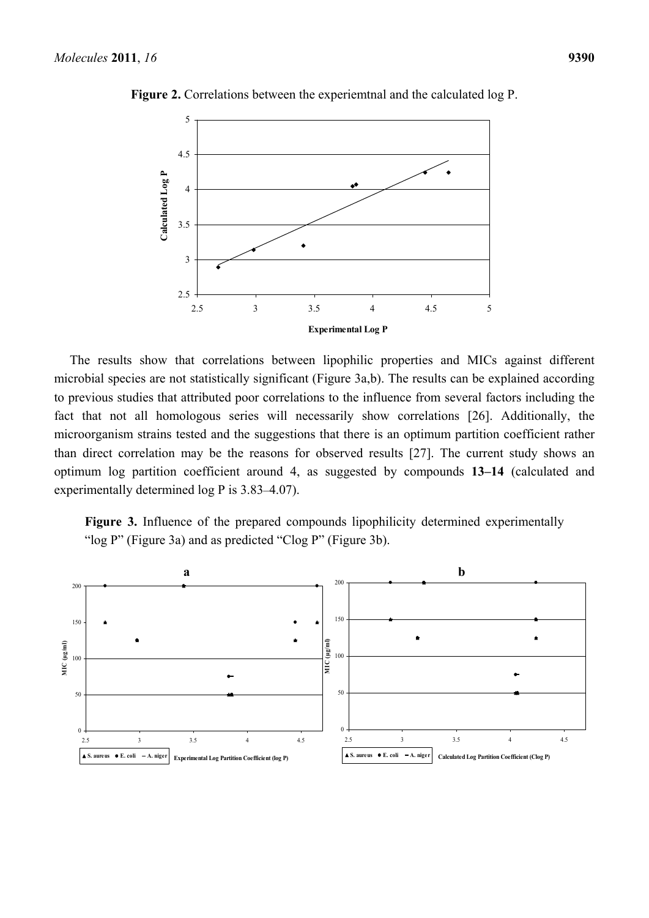

**Figure 2.** Correlations between the experiemtnal and the calculated log P.

The results show that correlations between lipophilic properties and MICs against different microbial species are not statistically significant (Figure 3a,b). The results can be explained according to previous studies that attributed poor correlations to the influence from several factors including the fact that not all homologous series will necessarily show correlations [26]. Additionally, the microorganism strains tested and the suggestions that there is an optimum partition coefficient rather than direct correlation may be the reasons for observed results [27]. The current study shows an optimum log partition coefficient around 4, as suggested by compounds **13–14** (calculated and experimentally determined log P is 3.83–4.07).

Figure 3. Influence of the prepared compounds lipophilicity determined experimentally "log P" (Figure 3a) and as predicted "Clog P" (Figure 3b).

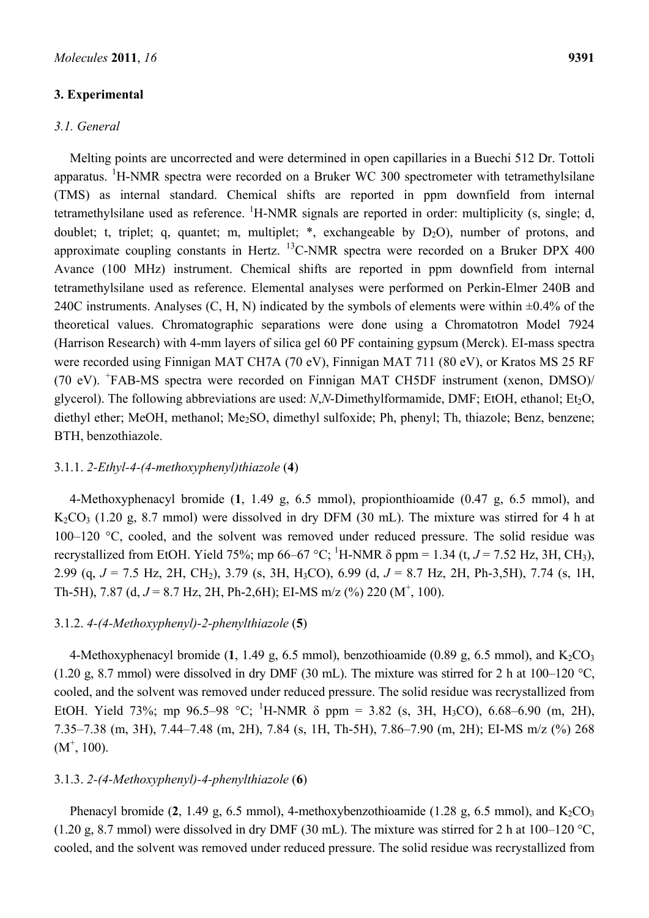# **3. Experimental**

## *3.1. General*

Melting points are uncorrected and were determined in open capillaries in a Buechi 512 Dr. Tottoli apparatus. <sup>1</sup>H-NMR spectra were recorded on a Bruker WC 300 spectrometer with tetramethylsilane (TMS) as internal standard. Chemical shifts are reported in ppm downfield from internal tetramethylsilane used as reference.  ${}^{1}$ H-NMR signals are reported in order: multiplicity (s, single; d, doublet; t, triplet; q, quantet; m, multiplet; \*, exchangeable by  $D_2O$ ), number of protons, and approximate coupling constants in Hertz.  $^{13}$ C-NMR spectra were recorded on a Bruker DPX 400 Avance (100 MHz) instrument. Chemical shifts are reported in ppm downfield from internal tetramethylsilane used as reference. Elemental analyses were performed on Perkin-Elmer 240B and 240C instruments. Analyses  $(C, H, N)$  indicated by the symbols of elements were within  $\pm 0.4\%$  of the theoretical values. Chromatographic separations were done using a Chromatotron Model 7924 (Harrison Research) with 4-mm layers of silica gel 60 PF containing gypsum (Merck). EI-mass spectra were recorded using Finnigan MAT CH7A (70 eV), Finnigan MAT 711 (80 eV), or Kratos MS 25 RF (70 eV). <sup>+</sup>FAB-MS spectra were recorded on Finnigan MAT CH5DF instrument (xenon, DMSO)/ glycerol). The following abbreviations are used: *N*,*N*-Dimethylformamide, DMF; EtOH, ethanol; Et<sub>2</sub>O, diethyl ether; MeOH, methanol; Me2SO, dimethyl sulfoxide; Ph, phenyl; Th, thiazole; Benz, benzene; BTH, benzothiazole.

## 3.1.1. *2-Ethyl-4-(4-methoxyphenyl)thiazole* (**4**)

4-Methoxyphenacyl bromide (**1**, 1.49 g, 6.5 mmol), propionthioamide (0.47 g, 6.5 mmol), and  $K_2CO_3$  (1.20 g, 8.7 mmol) were dissolved in dry DFM (30 mL). The mixture was stirred for 4 h at 100–120 °C, cooled, and the solvent was removed under reduced pressure. The solid residue was recrystallized from EtOH. Yield 75%; mp 66–67 °C; <sup>1</sup>H-NMR  $\delta$  ppm = 1.34 (t, *J* = 7.52 Hz, 3H, CH<sub>3</sub>), 2.99 (q, *J* = 7.5 Hz, 2H, CH2), 3.79 (s, 3H, H3CO), 6.99 (d, *J* = 8.7 Hz, 2H, Ph-3,5H), 7.74 (s, 1H, Th-5H), 7.87 (d,  $J = 8.7$  Hz, 2H, Ph-2,6H); EI-MS m/z (%) 220 (M<sup>+</sup>, 100).

#### 3.1.2. *4-(4-Methoxyphenyl)-2-phenylthiazole* (**5**)

4-Methoxyphenacyl bromide  $(1, 1.49 \text{ g}, 6.5 \text{ mmol})$ , benzothioamide  $(0.89 \text{ g}, 6.5 \text{ mmol})$ , and  $K_2CO_3$ (1.20 g, 8.7 mmol) were dissolved in dry DMF (30 mL). The mixture was stirred for 2 h at 100–120  $^{\circ}$ C, cooled, and the solvent was removed under reduced pressure. The solid residue was recrystallized from EtOH. Yield 73%; mp 96.5–98 °C; <sup>1</sup>H-NMR  $\delta$  ppm = 3.82 (s, 3H, H<sub>3</sub>CO), 6.68–6.90 (m, 2H), 7.35–7.38 (m, 3H), 7.44–7.48 (m, 2H), 7.84 (s, 1H, Th-5H), 7.86–7.90 (m, 2H); EI-MS m/z (%) 268  $(M^+, 100)$ .

# 3.1.3. *2-(4-Methoxyphenyl)-4-phenylthiazole* (**6**)

Phenacyl bromide  $(2, 1.49 \text{ g}, 6.5 \text{ mmol})$ , 4-methoxybenzothioamide  $(1.28 \text{ g}, 6.5 \text{ mmol})$ , and  $K_2CO_3$ (1.20 g, 8.7 mmol) were dissolved in dry DMF (30 mL). The mixture was stirred for 2 h at  $100-120$  °C, cooled, and the solvent was removed under reduced pressure. The solid residue was recrystallized from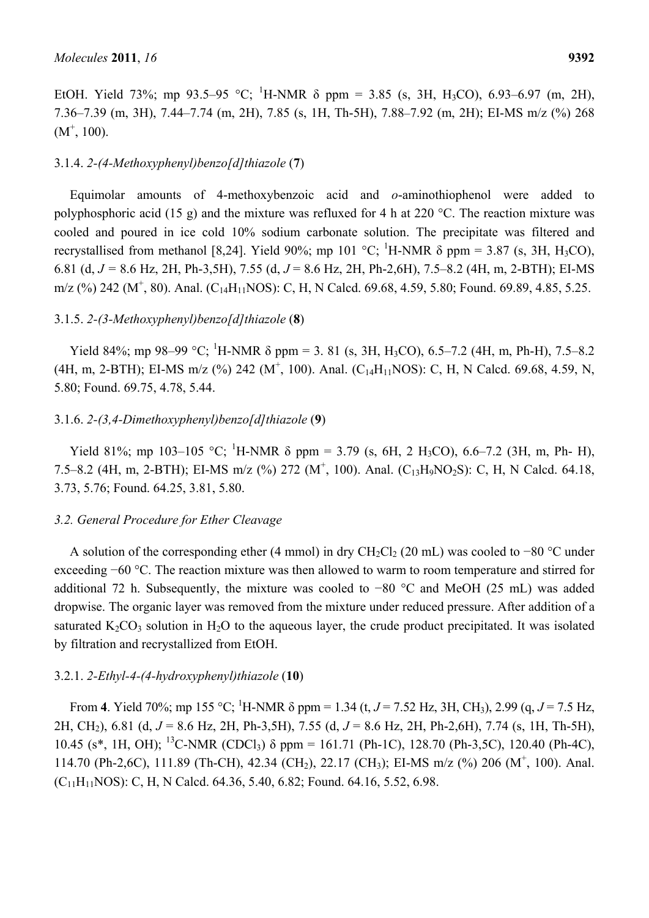EtOH. Yield 73%; mp 93.5–95 °C; <sup>1</sup>H-NMR  $\delta$  ppm = 3.85 (s, 3H, H<sub>3</sub>CO), 6.93–6.97 (m, 2H), 7.36–7.39 (m, 3H), 7.44–7.74 (m, 2H), 7.85 (s, 1H, Th-5H), 7.88–7.92 (m, 2H); EI-MS m/z (%) 268  $(M^+, 100)$ .

### 3.1.4. *2-(4-Methoxyphenyl)benzo[d]thiazole* (**7**)

Equimolar amounts of 4-methoxybenzoic acid and *o*-aminothiophenol were added to polyphosphoric acid (15 g) and the mixture was refluxed for 4 h at 220 °C. The reaction mixture was cooled and poured in ice cold 10% sodium carbonate solution. The precipitate was filtered and recrystallised from methanol [8,24]. Yield 90%; mp 101 °C; <sup>1</sup>H-NMR  $\delta$  ppm = 3.87 (s, 3H, H<sub>3</sub>CO), 6.81 (d, *J =* 8.6 Hz, 2H, Ph-3,5H), 7.55 (d, *J* = 8.6 Hz, 2H, Ph-2,6H), 7.5–8.2 (4H, m, 2-BTH); EI-MS  $m/z$  (%) 242 (M<sup>+</sup>, 80). Anal. (C<sub>14</sub>H<sub>11</sub>NOS): C, H, N Calcd. 69.68, 4.59, 5.80; Found. 69.89, 4.85, 5.25.

# 3.1.5. *2-(3-Methoxyphenyl)benzo[d]thiazole* (**8**)

Yield 84%; mp 98–99 °C; <sup>1</sup>H-NMR  $\delta$  ppm = 3. 81 (s, 3H, H<sub>3</sub>CO), 6.5–7.2 (4H, m, Ph-H), 7.5–8.2 (4H, m, 2-BTH); EI-MS m/z (%) 242 ( $M^+$ , 100). Anal. (C<sub>14</sub>H<sub>11</sub>NOS): C, H, N Calcd. 69.68, 4.59, N, 5.80; Found. 69.75, 4.78, 5.44.

#### 3.1.6. *2-(3,4-Dimethoxyphenyl)benzo[d]thiazole* (**9**)

Yield 81%; mp 103–105 °C; <sup>1</sup>H-NMR  $\delta$  ppm = 3.79 (s, 6H, 2 H<sub>3</sub>CO), 6.6–7.2 (3H, m, Ph- H), 7.5–8.2 (4H, m, 2-BTH); EI-MS m/z (%) 272 (M<sup>+</sup>, 100). Anal. (C<sub>13</sub>H<sub>9</sub>NO<sub>2</sub>S): C, H, N Calcd. 64.18, 3.73, 5.76; Found. 64.25, 3.81, 5.80.

#### *3.2. General Procedure for Ether Cleavage*

A solution of the corresponding ether (4 mmol) in dry CH<sub>2</sub>Cl<sub>2</sub> (20 mL) was cooled to −80 °C under exceeding −60 °C. The reaction mixture was then allowed to warm to room temperature and stirred for additional 72 h. Subsequently, the mixture was cooled to −80 °C and MeOH (25 mL) was added dropwise. The organic layer was removed from the mixture under reduced pressure. After addition of a saturated  $K_2CO_3$  solution in  $H_2O$  to the aqueous layer, the crude product precipitated. It was isolated by filtration and recrystallized from EtOH.

### 3.2.1. *2-Ethyl-4-(4-hydroxyphenyl)thiazole* (**10**)

From 4. Yield 70%; mp 155 °C; <sup>1</sup>H-NMR  $\delta$  ppm = 1.34 (t, *J* = 7.52 Hz, 3H, CH<sub>3</sub>), 2.99 (q, *J* = 7.5 Hz, 2H, CH2), 6.81 (d, *J* = 8.6 Hz, 2H, Ph-3,5H), 7.55 (d, *J* = 8.6 Hz, 2H, Ph-2,6H), 7.74 (s, 1H, Th-5H), 10.45 (s<sup>\*</sup>, 1H, OH); <sup>13</sup>C-NMR (CDCl<sub>3</sub>)  $\delta$  ppm = 161.71 (Ph-1C), 128.70 (Ph-3,5C), 120.40 (Ph-4C), 114.70 (Ph-2,6C), 111.89 (Th-CH), 42.34 (CH<sub>2</sub>), 22.17 (CH<sub>3</sub>); EI-MS m/z (%) 206 (M<sup>+</sup>, 100). Anal.  $(C_{11}H_{11}NOS)$ : C, H, N Calcd. 64.36, 5.40, 6.82; Found. 64.16, 5.52, 6.98.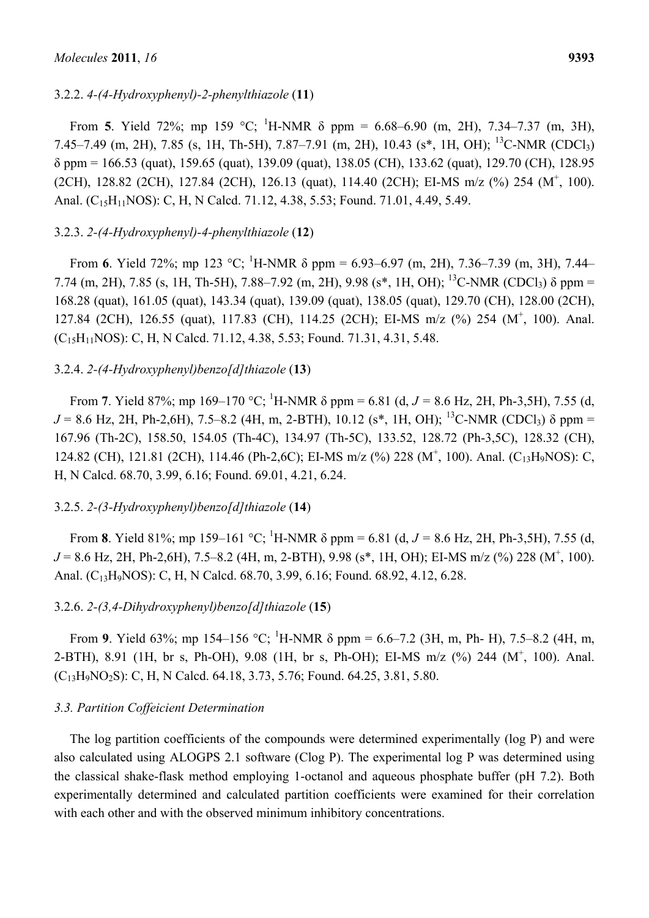# 3.2.2. *4-(4-Hydroxyphenyl)-2-phenylthiazole* (**11**)

From **5**. Yield 72%; mp 159 °C; <sup>1</sup>H-NMR  $\delta$  ppm = 6.68–6.90 (m, 2H), 7.34–7.37 (m, 3H), 7.45–7.49 (m, 2H), 7.85 (s, 1H, Th-5H), 7.87–7.91 (m, 2H), 10.43 (s<sup>\*</sup>, 1H, OH); <sup>13</sup>C-NMR (CDCl<sub>3</sub>) δ ppm = 166.53 (quat), 159.65 (quat), 139.09 (quat), 138.05 (CH), 133.62 (quat), 129.70 (CH), 128.95 (2CH), 128.82 (2CH), 127.84 (2CH), 126.13 (quat), 114.40 (2CH); EI-MS m/z (%) 254 (M<sup>+</sup>, 100). Anal. (C<sub>15</sub>H<sub>11</sub>NOS): C, H, N Calcd. 71.12, 4.38, 5.53; Found. 71.01, 4.49, 5.49.

# 3.2.3. *2-(4-Hydroxyphenyl)-4-phenylthiazole* (**12**)

From **6**. Yield 72%; mp 123 °C; <sup>1</sup>H-NMR  $\delta$  ppm = 6.93–6.97 (m, 2H), 7.36–7.39 (m, 3H), 7.44– 7.74 (m, 2H), 7.85 (s, 1H, Th-5H), 7.88–7.92 (m, 2H), 9.98 (s<sup>\*</sup>, 1H, OH); <sup>13</sup>C-NMR (CDCl<sub>3</sub>)  $\delta$  ppm = 168.28 (quat), 161.05 (quat), 143.34 (quat), 139.09 (quat), 138.05 (quat), 129.70 (CH), 128.00 (2CH), 127.84 (2CH), 126.55 (quat), 117.83 (CH), 114.25 (2CH); EI-MS m/z (%) 254 (M<sup>+</sup>, 100). Anal. (C15H11NOS): C, H, N Calcd. 71.12, 4.38, 5.53; Found. 71.31, 4.31, 5.48.

# 3.2.4. *2-(4-Hydroxyphenyl)benzo[d]thiazole* (**13**)

From 7. Yield 87%; mp 169–170 °C; <sup>1</sup>H-NMR  $\delta$  ppm = 6.81 (d,  $J = 8.6$  Hz, 2H, Ph-3,5H), 7.55 (d,  $J = 8.6$  Hz, 2H, Ph-2,6H), 7.5–8.2 (4H, m, 2-BTH), 10.12 (s<sup>\*</sup>, 1H, OH); <sup>13</sup>C-NMR (CDCl<sub>3</sub>)  $\delta$  ppm = 167.96 (Th-2C), 158.50, 154.05 (Th-4C), 134.97 (Th-5C), 133.52, 128.72 (Ph-3,5C), 128.32 (CH), 124.82 (CH), 121.81 (2CH), 114.46 (Ph-2,6C); EI-MS m/z (%) 228 (M<sup>+</sup>, 100). Anal. (C<sub>13</sub>H<sub>9</sub>NOS): C, H, N Calcd. 68.70, 3.99, 6.16; Found. 69.01, 4.21, 6.24.

# 3.2.5. *2-(3-Hydroxyphenyl)benzo[d]thiazole* (**14**)

From **8**. Yield 81%; mp 159–161 °C; <sup>1</sup>H-NMR  $\delta$  ppm = 6.81 (d, *J* = 8.6 Hz, 2H, Ph-3,5H), 7.55 (d,  $J = 8.6$  Hz, 2H, Ph-2,6H), 7.5–8.2 (4H, m, 2-BTH), 9.98 (s<sup>\*</sup>, 1H, OH); EI-MS m/z (%) 228 (M<sup>+</sup>, 100). Anal. (C<sub>13</sub>H<sub>9</sub>NOS): C, H, N Calcd. 68.70, 3.99, 6.16; Found. 68.92, 4.12, 6.28.

# 3.2.6. *2-(3,4-Dihydroxyphenyl)benzo[d]thiazole* (**15**)

From **9**. Yield 63%; mp 154–156 °C; <sup>1</sup>H-NMR  $\delta$  ppm = 6.6–7.2 (3H, m, Ph- H), 7.5–8.2 (4H, m, 2-BTH), 8.91 (1H, br s, Ph-OH), 9.08 (1H, br s, Ph-OH); EI-MS m/z (%) 244 (M<sup>+</sup>, 100). Anal. (C13H9NO2S): C, H, N Calcd. 64.18, 3.73, 5.76; Found. 64.25, 3.81, 5.80.

# *3.3. Partition Coffeicient Determination*

The log partition coefficients of the compounds were determined experimentally (log P) and were also calculated using ALOGPS 2.1 software (Clog P). The experimental log P was determined using the classical shake-flask method employing 1-octanol and aqueous phosphate buffer (pH 7.2). Both experimentally determined and calculated partition coefficients were examined for their correlation with each other and with the observed minimum inhibitory concentrations.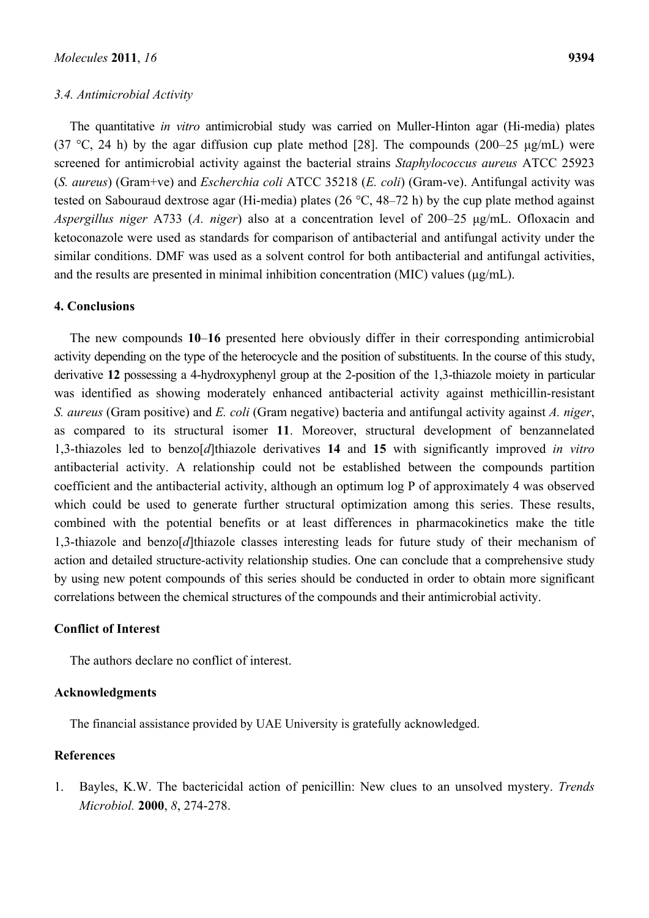#### *3.4. Antimicrobial Activity*

The quantitative *in vitro* antimicrobial study was carried on Muller-Hinton agar (Hi-media) plates (37 °C, 24 h) by the agar diffusion cup plate method [28]. The compounds (200–25  $\mu$ g/mL) were screened for antimicrobial activity against the bacterial strains *Staphylococcus aureus* ATCC 25923 (*S. aureus*) (Gram+ve) and *Escherchia coli* ATCC 35218 (*E. coli*) (Gram-ve). Antifungal activity was tested on Sabouraud dextrose agar (Hi-media) plates (26 °C, 48–72 h) by the cup plate method against *Aspergillus niger* A733 (*A. niger*) also at a concentration level of 200–25 μg/mL. Ofloxacin and ketoconazole were used as standards for comparison of antibacterial and antifungal activity under the similar conditions. DMF was used as a solvent control for both antibacterial and antifungal activities, and the results are presented in minimal inhibition concentration (MIC) values (μg/mL).

# **4. Conclusions**

The new compounds **10**–**16** presented here obviously differ in their corresponding antimicrobial activity depending on the type of the heterocycle and the position of substituents. In the course of this study, derivative **12** possessing a 4-hydroxyphenyl group at the 2-position of the 1,3-thiazole moiety in particular was identified as showing moderately enhanced antibacterial activity against methicillin-resistant *S. aureus* (Gram positive) and *E. coli* (Gram negative) bacteria and antifungal activity against *A. niger*, as compared to its structural isomer **11**. Moreover, structural development of benzannelated 1,3-thiazoles led to benzo[*d*]thiazole derivatives **14** and **15** with significantly improved *in vitro* antibacterial activity. A relationship could not be established between the compounds partition coefficient and the antibacterial activity, although an optimum log P of approximately 4 was observed which could be used to generate further structural optimization among this series. These results, combined with the potential benefits or at least differences in pharmacokinetics make the title 1,3-thiazole and benzo[*d*]thiazole classes interesting leads for future study of their mechanism of action and detailed structure-activity relationship studies. One can conclude that a comprehensive study by using new potent compounds of this series should be conducted in order to obtain more significant correlations between the chemical structures of the compounds and their antimicrobial activity.

# **Conflict of Interest**

The authors declare no conflict of interest.

# **Acknowledgments**

The financial assistance provided by UAE University is gratefully acknowledged.

# **References**

1. Bayles, K.W. The bactericidal action of penicillin: New clues to an unsolved mystery. *Trends Microbiol.* **2000**, *8*, 274-278.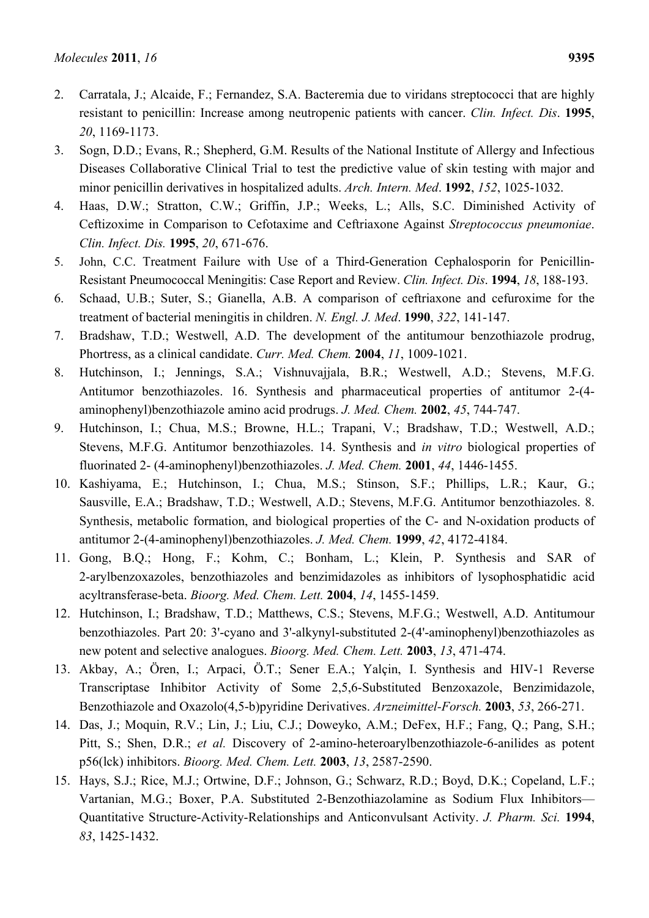- 2. Carratala, J.; Alcaide, F.; Fernandez, S.A. Bacteremia due to viridans streptococci that are highly resistant to penicillin: Increase among neutropenic patients with cancer. *Clin. Infect. Dis*. **1995**, *20*, 1169-1173.
- 3. Sogn, D.D.; Evans, R.; Shepherd, G.M. Results of the National Institute of Allergy and Infectious Diseases Collaborative Clinical Trial to test the predictive value of skin testing with major and minor penicillin derivatives in hospitalized adults. *Arch. Intern. Med*. **1992**, *152*, 1025-1032.
- 4. Haas, D.W.; Stratton, C.W.; Griffin, J.P.; Weeks, L.; Alls, S.C. Diminished Activity of Ceftizoxime in Comparison to Cefotaxime and Ceftriaxone Against *Streptococcus pneumoniae*. *Clin. Infect. Dis.* **1995**, *20*, 671-676.
- 5. John, C.C. Treatment Failure with Use of a Third-Generation Cephalosporin for Penicillin-Resistant Pneumococcal Meningitis: Case Report and Review. *Clin. Infect. Dis*. **1994**, *18*, 188-193.
- 6. Schaad, U.B.; Suter, S.; Gianella, A.B. A comparison of ceftriaxone and cefuroxime for the treatment of bacterial meningitis in children. *N. Engl. J. Med*. **1990**, *322*, 141-147.
- 7. Bradshaw, T.D.; Westwell, A.D. The development of the antitumour benzothiazole prodrug, Phortress, as a clinical candidate. *Curr. Med. Chem.* **2004**, *11*, 1009-1021.
- 8. Hutchinson, I.; Jennings, S.A.; Vishnuvajjala, B.R.; Westwell, A.D.; Stevens, M.F.G. Antitumor benzothiazoles. 16. Synthesis and pharmaceutical properties of antitumor 2-(4 aminophenyl)benzothiazole amino acid prodrugs. *J. Med. Chem.* **2002**, *45*, 744-747.
- 9. Hutchinson, I.; Chua, M.S.; Browne, H.L.; Trapani, V.; Bradshaw, T.D.; Westwell, A.D.; Stevens, M.F.G. Antitumor benzothiazoles. 14. Synthesis and *in vitro* biological properties of fluorinated 2- (4-aminophenyl)benzothiazoles. *J. Med. Chem.* **2001**, *44*, 1446-1455.
- 10. Kashiyama, E.; Hutchinson, I.; Chua, M.S.; Stinson, S.F.; Phillips, L.R.; Kaur, G.; Sausville, E.A.; Bradshaw, T.D.; Westwell, A.D.; Stevens, M.F.G. Antitumor benzothiazoles. 8. Synthesis, metabolic formation, and biological properties of the C- and N-oxidation products of antitumor 2-(4-aminophenyl)benzothiazoles. *J. Med. Chem.* **1999**, *42*, 4172-4184.
- 11. Gong, B.Q.; Hong, F.; Kohm, C.; Bonham, L.; Klein, P. Synthesis and SAR of 2-arylbenzoxazoles, benzothiazoles and benzimidazoles as inhibitors of lysophosphatidic acid acyltransferase-beta. *Bioorg. Med. Chem. Lett.* **2004**, *14*, 1455-1459.
- 12. Hutchinson, I.; Bradshaw, T.D.; Matthews, C.S.; Stevens, M.F.G.; Westwell, A.D. Antitumour benzothiazoles. Part 20: 3'-cyano and 3'-alkynyl-substituted 2-(4'-aminophenyl)benzothiazoles as new potent and selective analogues. *Bioorg. Med. Chem. Lett.* **2003**, *13*, 471-474.
- 13. Akbay, A.; Ören, I.; Arpaci, Ö.T.; Sener E.A.; Yalçin, I. Synthesis and HIV-1 Reverse Transcriptase Inhibitor Activity of Some 2,5,6-Substituted Benzoxazole, Benzimidazole, Benzothiazole and Oxazolo(4,5-b)pyridine Derivatives. *Arzneimittel-Forsch.* **2003**, *53*, 266-271.
- 14. Das, J.; Moquin, R.V.; Lin, J.; Liu, C.J.; Doweyko, A.M.; DeFex, H.F.; Fang, Q.; Pang, S.H.; Pitt, S.; Shen, D.R.; *et al.* Discovery of 2-amino-heteroarylbenzothiazole-6-anilides as potent p56(lck) inhibitors. *Bioorg. Med. Chem. Lett.* **2003**, *13*, 2587-2590.
- 15. Hays, S.J.; Rice, M.J.; Ortwine, D.F.; Johnson, G.; Schwarz, R.D.; Boyd, D.K.; Copeland, L.F.; Vartanian, M.G.; Boxer, P.A. Substituted 2-Benzothiazolamine as Sodium Flux Inhibitors— Quantitative Structure-Activity-Relationships and Anticonvulsant Activity. *J. Pharm. Sci.* **1994**, *83*, 1425-1432.